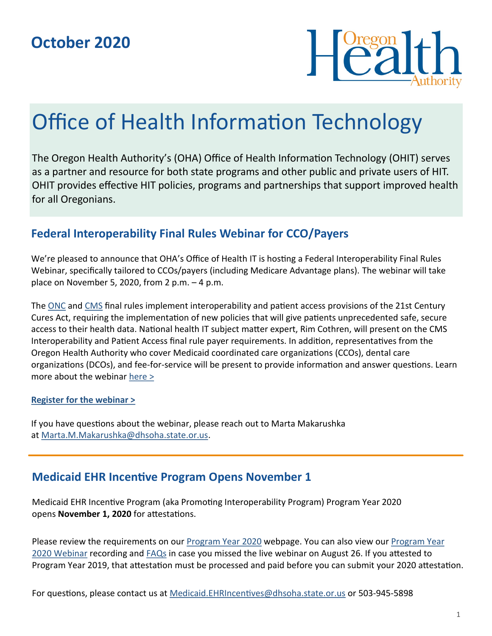

# Office of Health Information Technology

The Oregon Health Authority's (OHA) Office of Health Information Technology (OHIT) serves as a partner and resource for both state programs and other public and private users of HIT. OHIT provides effective HIT policies, programs and partnerships that support improved health for all Oregonians.

## **Federal Interoperability Final Rules Webinar for CCO/Payers**

We're pleased to announce that OHA's Office of Health IT is hosting a Federal Interoperability Final Rules Webinar, specifically tailored to CCOs/payers (including Medicare Advantage plans). The webinar will take place on November 5, 2020, from 2 p.m.  $-4$  p.m.

The [ONC](https://www.federalregister.gov/documents/2020/05/01/2020-07419/21st-century-cures-act-interoperability-information-blocking-and-the-onc-health-it-certification) and [CMS](https://www.federalregister.gov/documents/2020/05/01/2020-05050/medicare-and-medicaid-programs-patient-protection-and-affordable-care-act-interoperability-and) final rules implement interoperability and patient access provisions of the 21st Century Cures Act, requiring the implementation of new policies that will give patients unprecedented safe, secure access to their health data. National health IT subject matter expert, Rim Cothren, will present on the CMS Interoperability and Patient Access final rule payer requirements. In addition, representatives from the Oregon Health Authority who cover Medicaid coordinated care organizations (CCOs), dental care organizations (DCOs), and fee-for-service will be present to provide information and answer questions. Learn more about the webinar [here >](https://www.oregon.gov/oha/HPA/OHIT-HITOC/Pages/Federal-Rules.aspx)

#### **[Register for the webinar >](https://attendee.gotowebinar.com/register/3505681085115652110)**

If you have questions about the webinar, please reach out to Marta Makarushka at [Marta.M.Makarushka@dhsoha.state.or.us.](mailto:Marta.M.Makarushka@dhsoha.state.or.us)

## **Medicaid EHR Incentive Program Opens November 1**

Medicaid EHR Incentive Program (aka Promoting Interoperability Program) Program Year 2020 opens **November 1, 2020** for attestations.

Please review the requirements on our [Program Year 2020](https://www.oregon.gov/oha/HPA/OHIT-MEHRIP/Pages/Program-Year-2020.aspx) webpage. You can also view our [Program Year](https://www.youtube.com/watch?v=ffLyELgemtY&feature=youtu.be)  [2020 Webinar](https://www.youtube.com/watch?v=ffLyELgemtY&feature=youtu.be) recording and [FAQs](https://www.oregon.gov/oha/HPA/OHIT-MEHRIP/Documents/ProgramYear2020WebinarFAQ.pdf) in case you missed the live webinar on August 26. If you attested to Program Year 2019, that attestation must be processed and paid before you can submit your 2020 attestation.

For questions, please contact us at [Medicaid.EHRIncentives@dhsoha.state.or.us](mailto:Medicaid.EHRIncentives@dhsoha.state.or.us) or 503-945-5898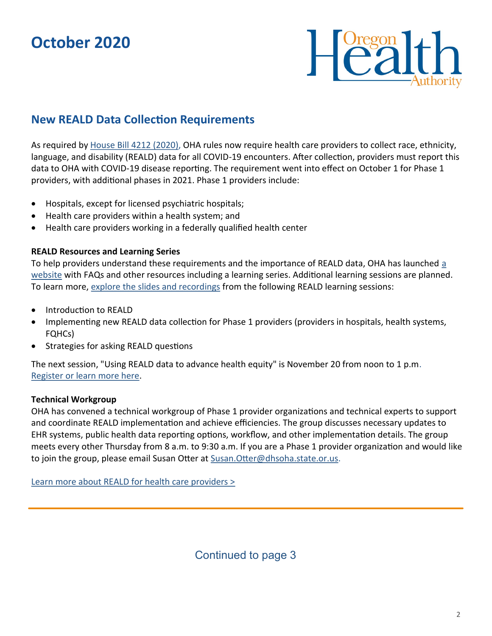## **October 2020**



## **New REALD Data Collection Requirements**

As required by [House Bill 4212 \(2020\),](https://olis.oregonlegislature.gov/liz/2020S1/Downloads/MeasureDocument/HB4212/Enrolled) OHA rules now require health care providers to collect race, ethnicity, language, and disability (REALD) data for all COVID-19 encounters. After collection, providers must report this data to OHA with COVID-19 disease reporting. The requirement went into effect on October 1 for Phase 1 providers, with additional phases in 2021. Phase 1 providers include:

- Hospitals, except for licensed psychiatric hospitals;
- Health care providers within a health system; and
- Health care providers working in a federally qualified health center

#### **REALD Resources and Learning Series**

To help providers understand these requirements and the importance of REALD data, OHA has launched a [website](https://www.oregon.gov/oha/OEI/Pages/REALD-Providers.aspx) with FAQs and other resources including a learning series. Additional learning sessions are planned. To learn more, [explore the slides and recordings](https://www.oregon.gov/oha/HPA/dsi-tc/Documents/REALD%20Learning%20Series%20for%20CCOs.pdf) from the following REALD learning sessions:

- Introduction to REALD
- Implementing new REALD data collection for Phase 1 providers (providers in hospitals, health systems, FQHCs)
- Strategies for asking REALD questions

The next session, "Using REALD data to advance health equity" is November 20 from noon to 1 p.m. [Register or learn more here.](https://www.eventbrite.com/e/using-reald-data-to-advance-health-equity-tickets-120070858169)

#### **Technical Workgroup**

OHA has convened a technical workgroup of Phase 1 provider organizations and technical experts to support and coordinate REALD implementation and achieve efficiencies. The group discusses necessary updates to EHR systems, public health data reporting options, workflow, and other implementation details. The group meets every other Thursday from 8 a.m. to 9:30 a.m. If you are a Phase 1 provider organization and would like to join the group, please email Susan Otter at Susan. Otter@dhsoha.state.or.us.

[Learn more about REALD for health care providers >](https://www.oregon.gov/oha/OEI/Pages/REALD-Providers.aspx)

Continued to page 3